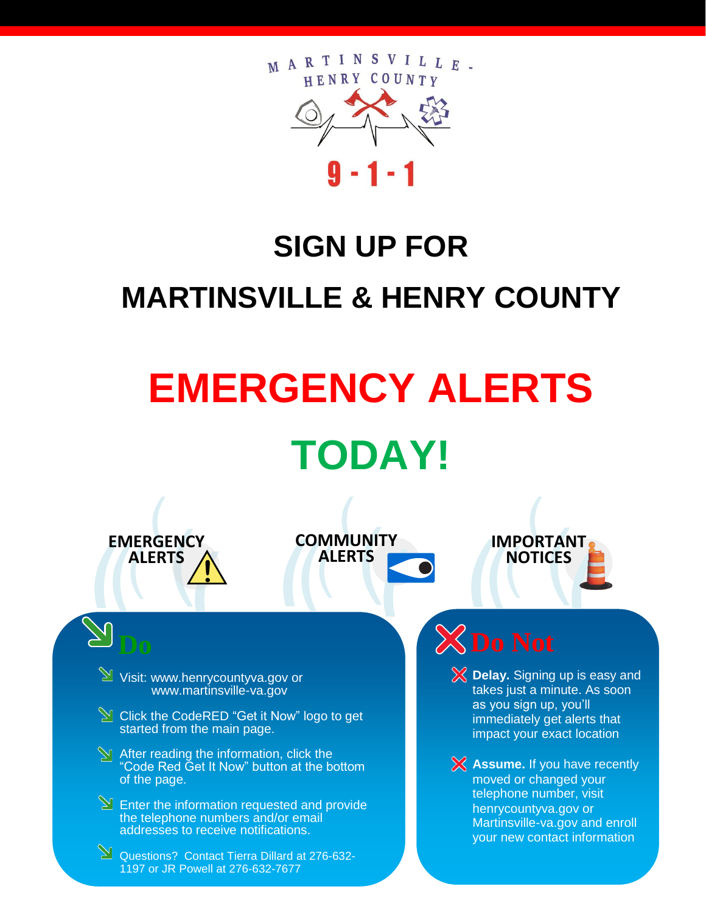

## **SIGN UP FOR MARTINSVILLE & HENRY COUNTY**

## **EMERGENCY ALERTS TODAY!**



Visit: www.henrycountyva.gov or www.martinsville-va.gov

 $\Im$  Click the CodeRED "Get it Now" logo to get started from the main page.

 $\overline{\mathbf{C}}$ 

( **ALERTS**

( **COMMUNITY**

INIT<br>TS<br>|

 $\sum_{i=1}^{n}$ 

- **M** After reading the information, click the "Code Red Get It Now" button at the bottom of the page.
- **Enter the information requested and provide** the telephone numbers and/or email addresses to receive notifications.

Questions? Contact Tierra Dillard at 276-632-1197 or JR Powell at 276-632-7677

 $\begin{bmatrix} 1 & 1 \\ 1 & 1 \\ 1 & 1 \end{bmatrix}$  $X$ Do Not

> **Delay.** Signing up is easy and takes just a minute. As soon as you sign up, you'll immediately get alerts that impact your exact location

**NOTICES** 

( **IMPORTANT**

TAN<br>CES<br>N

 $\sum_{i=1}^{N}$ 

**Assume.** If you have recently moved or changed your telephone number, visit henrycountyva.gov or Martinsville-va.gov and enroll your new contact information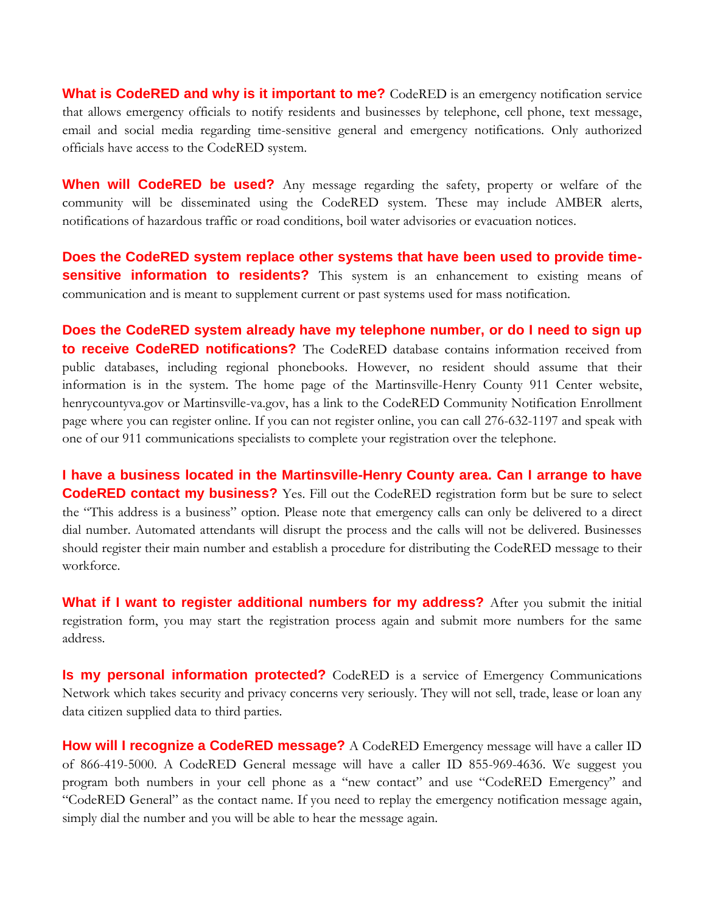**What is CodeRED and why is it important to me?** CodeRED is an emergency notification service that allows emergency officials to notify residents and businesses by telephone, cell phone, text message, email and social media regarding time-sensitive general and emergency notifications. Only authorized officials have access to the CodeRED system.

**When will CodeRED be used?** Any message regarding the safety, property or welfare of the community will be disseminated using the CodeRED system. These may include AMBER alerts, notifications of hazardous traffic or road conditions, boil water advisories or evacuation notices.

**Does the CodeRED system replace other systems that have been used to provide timesensitive information to residents?** This system is an enhancement to existing means of communication and is meant to supplement current or past systems used for mass notification.

**Does the CodeRED system already have my telephone number, or do I need to sign up to receive CodeRED notifications?** The CodeRED database contains information received from public databases, including regional phonebooks. However, no resident should assume that their information is in the system. The home page of the Martinsville-Henry County 911 Center website, henrycountyva.gov or Martinsville-va.gov, has a link to the CodeRED Community Notification Enrollment page where you can register online. If you can not register online, you can call 276-632-1197 and speak with one of our 911 communications specialists to complete your registration over the telephone.

**I have a business located in the Martinsville-Henry County area. Can I arrange to have CodeRED contact my business?** Yes. Fill out the CodeRED registration form but be sure to select the "This address is a business" option. Please note that emergency calls can only be delivered to a direct dial number. Automated attendants will disrupt the process and the calls will not be delivered. Businesses should register their main number and establish a procedure for distributing the CodeRED message to their workforce.

**What if I want to register additional numbers for my address?** After you submit the initial registration form, you may start the registration process again and submit more numbers for the same address.

**Is my personal information protected?** CodeRED is a service of Emergency Communications Network which takes security and privacy concerns very seriously. They will not sell, trade, lease or loan any data citizen supplied data to third parties.

**How will I recognize a CodeRED message?** A CodeRED Emergency message will have a caller ID of 866-419-5000. A CodeRED General message will have a caller ID 855-969-4636. We suggest you program both numbers in your cell phone as a "new contact" and use "CodeRED Emergency" and "CodeRED General" as the contact name. If you need to replay the emergency notification message again, simply dial the number and you will be able to hear the message again.